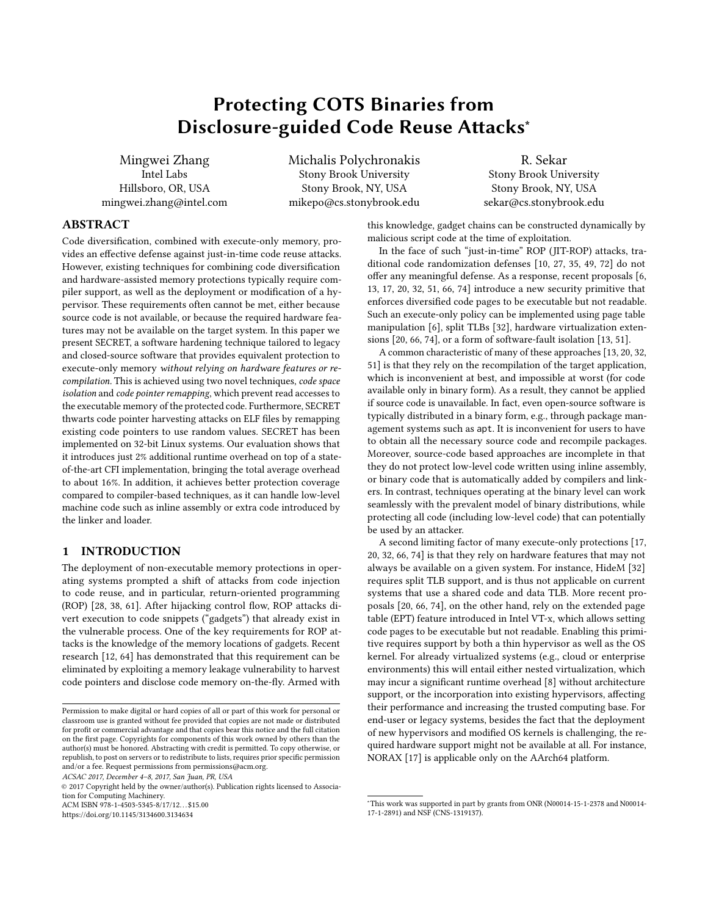# Protecting COTS Binaries from Disclosure-guided Code Reuse Attacks<sup>∗</sup>

<span id="page-0-0"></span>Mingwei Zhang Intel Labs Hillsboro, OR, USA mingwei.zhang@intel.com Michalis Polychronakis Stony Brook University Stony Brook, NY, USA mikepo@cs.stonybrook.edu

R. Sekar Stony Brook University Stony Brook, NY, USA sekar@cs.stonybrook.edu

## ABSTRACT

Code diversification, combined with execute-only memory, provides an effective defense against just-in-time code reuse attacks. However, existing techniques for combining code diversification and hardware-assisted memory protections typically require compiler support, as well as the deployment or modification of a hypervisor. These requirements often cannot be met, either because source code is not available, or because the required hardware features may not be available on the target system. In this paper we present SECRET, a software hardening technique tailored to legacy and closed-source software that provides equivalent protection to execute-only memory without relying on hardware features or recompilation. This is achieved using two novel techniques, code space isolation and code pointer remapping, which prevent read accesses to the executable memory of the protected code. Furthermore, SECRET thwarts code pointer harvesting attacks on ELF files by remapping existing code pointers to use random values. SECRET has been implemented on 32-bit Linux systems. Our evaluation shows that it introduces just 2% additional runtime overhead on top of a stateof-the-art CFI implementation, bringing the total average overhead to about 16%. In addition, it achieves better protection coverage compared to compiler-based techniques, as it can handle low-level machine code such as inline assembly or extra code introduced by the linker and loader.

# 1 INTRODUCTION

The deployment of non-executable memory protections in operating systems prompted a shift of attacks from code injection to code reuse, and in particular, return-oriented programming (ROP) [\[28,](#page-11-0) [38,](#page-11-1) [61\]](#page-12-0). After hijacking control flow, ROP attacks divert execution to code snippets ("gadgets") that already exist in the vulnerable process. One of the key requirements for ROP attacks is the knowledge of the memory locations of gadgets. Recent research [\[12,](#page-11-2) [64\]](#page-12-1) has demonstrated that this requirement can be eliminated by exploiting a memory leakage vulnerability to harvest code pointers and disclose code memory on-the-fly. Armed with

ACSAC 2017, December 4–8, 2017, San Juan, PR, USA

© 2017 Copyright held by the owner/author(s). Publication rights licensed to Association for Computing Machinery.

ACM ISBN 978-1-4503-5345-8/17/12. . . \$15.00 <https://doi.org/10.1145/3134600.3134634>

this knowledge, gadget chains can be constructed dynamically by malicious script code at the time of exploitation.

In the face of such "just-in-time" ROP (JIT-ROP) attacks, traditional code randomization defenses [\[10,](#page-11-3) [27,](#page-11-4) [35,](#page-11-5) [49,](#page-11-6) [72\]](#page-12-2) do not offer any meaningful defense. As a response, recent proposals [\[6,](#page-11-7) [13,](#page-11-8) [17,](#page-11-9) [20,](#page-11-10) [32,](#page-11-11) [51,](#page-11-12) [66,](#page-12-3) [74\]](#page-12-4) introduce a new security primitive that enforces diversified code pages to be executable but not readable. Such an execute-only policy can be implemented using page table manipulation [\[6\]](#page-11-7), split TLBs [\[32\]](#page-11-11), hardware virtualization extensions [\[20,](#page-11-10) [66,](#page-12-3) [74\]](#page-12-4), or a form of software-fault isolation [\[13,](#page-11-8) [51\]](#page-11-12).

A common characteristic of many of these approaches [\[13,](#page-11-8) [20,](#page-11-10) [32,](#page-11-11) [51\]](#page-11-12) is that they rely on the recompilation of the target application, which is inconvenient at best, and impossible at worst (for code available only in binary form). As a result, they cannot be applied if source code is unavailable. In fact, even open-source software is typically distributed in a binary form, e.g., through package management systems such as apt. It is inconvenient for users to have to obtain all the necessary source code and recompile packages. Moreover, source-code based approaches are incomplete in that they do not protect low-level code written using inline assembly, or binary code that is automatically added by compilers and linkers. In contrast, techniques operating at the binary level can work seamlessly with the prevalent model of binary distributions, while protecting all code (including low-level code) that can potentially be used by an attacker.

A second limiting factor of many execute-only protections [\[17,](#page-11-9) [20,](#page-11-10) [32,](#page-11-11) [66,](#page-12-3) [74\]](#page-12-4) is that they rely on hardware features that may not always be available on a given system. For instance, HideM [\[32\]](#page-11-11) requires split TLB support, and is thus not applicable on current systems that use a shared code and data TLB. More recent proposals [\[20,](#page-11-10) [66,](#page-12-3) [74\]](#page-12-4), on the other hand, rely on the extended page table (EPT) feature introduced in Intel VT-x, which allows setting code pages to be executable but not readable. Enabling this primitive requires support by both a thin hypervisor as well as the OS kernel. For already virtualized systems (e.g., cloud or enterprise environments) this will entail either nested virtualization, which may incur a significant runtime overhead [\[8\]](#page-11-13) without architecture support, or the incorporation into existing hypervisors, affecting their performance and increasing the trusted computing base. For end-user or legacy systems, besides the fact that the deployment of new hypervisors and modified OS kernels is challenging, the required hardware support might not be available at all. For instance, NORAX [\[17\]](#page-11-9) is applicable only on the AArch64 platform.

Permission to make digital or hard copies of all or part of this work for personal or classroom use is granted without fee provided that copies are not made or distributed for profit or commercial advantage and that copies bear this notice and the full citation on the first page. Copyrights for components of this work owned by others than the author(s) must be honored. Abstracting with credit is permitted. To copy otherwise, or republish, to post on servers or to redistribute to lists, requires prior specific permission and/or a fee. Request permissions from permissions@acm.org.

<sup>∗</sup>This work was supported in part by grants from ONR (N00014-15-1-2378 and N00014- 17-1-2891) and NSF (CNS-1319137).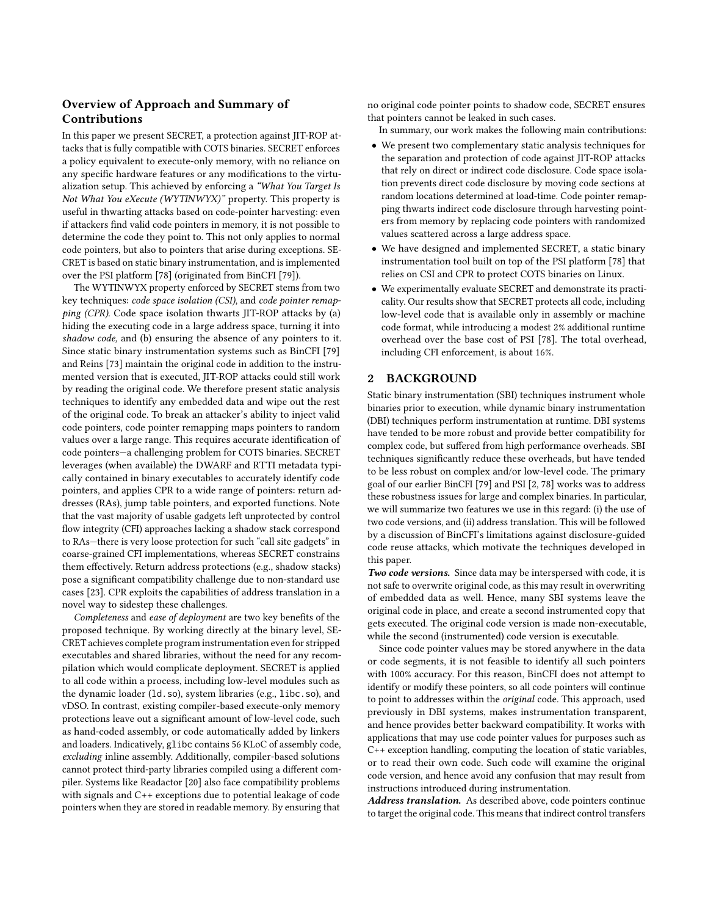# Overview of Approach and Summary of Contributions

In this paper we present SECRET, a protection against JIT-ROP attacks that is fully compatible with COTS binaries. SECRET enforces a policy equivalent to execute-only memory, with no reliance on any specific hardware features or any modifications to the virtualization setup. This achieved by enforcing a "What You Target Is Not What You eXecute (WYTINWYX)" property. This property is useful in thwarting attacks based on code-pointer harvesting: even if attackers find valid code pointers in memory, it is not possible to determine the code they point to. This not only applies to normal code pointers, but also to pointers that arise during exceptions. SE-CRET is based on static binary instrumentation, and is implemented over the PSI platform [\[78\]](#page-12-5) (originated from BinCFI [\[79\]](#page-12-6)).

The WYTINWYX property enforced by SECRET stems from two key techniques: code space isolation (CSI), and code pointer remapping (CPR). Code space isolation thwarts JIT-ROP attacks by (a) hiding the executing code in a large address space, turning it into shadow code, and (b) ensuring the absence of any pointers to it. Since static binary instrumentation systems such as BinCFI [\[79\]](#page-12-6) and Reins [\[73\]](#page-12-7) maintain the original code in addition to the instrumented version that is executed, JIT-ROP attacks could still work by reading the original code. We therefore present static analysis techniques to identify any embedded data and wipe out the rest of the original code. To break an attacker's ability to inject valid code pointers, code pointer remapping maps pointers to random values over a large range. This requires accurate identification of code pointers—a challenging problem for COTS binaries. SECRET leverages (when available) the DWARF and RTTI metadata typically contained in binary executables to accurately identify code pointers, and applies CPR to a wide range of pointers: return addresses (RAs), jump table pointers, and exported functions. Note that the vast majority of usable gadgets left unprotected by control flow integrity (CFI) approaches lacking a shadow stack correspond to RAs—there is very loose protection for such "call site gadgets" in coarse-grained CFI implementations, whereas SECRET constrains them effectively. Return address protections (e.g., shadow stacks) pose a significant compatibility challenge due to non-standard use cases [\[23\]](#page-11-14). CPR exploits the capabilities of address translation in a novel way to sidestep these challenges.

Completeness and ease of deployment are two key benefits of the proposed technique. By working directly at the binary level, SE-CRET achieves complete program instrumentation even for stripped executables and shared libraries, without the need for any recompilation which would complicate deployment. SECRET is applied to all code within a process, including low-level modules such as the dynamic loader (ld.so), system libraries (e.g., libc.so), and vDSO. In contrast, existing compiler-based execute-only memory protections leave out a significant amount of low-level code, such as hand-coded assembly, or code automatically added by linkers and loaders. Indicatively, glibc contains 56 KLoC of assembly code, excluding inline assembly. Additionally, compiler-based solutions cannot protect third-party libraries compiled using a different compiler. Systems like Readactor [\[20\]](#page-11-10) also face compatibility problems with signals and C++ exceptions due to potential leakage of code pointers when they are stored in readable memory. By ensuring that

no original code pointer points to shadow code, SECRET ensures that pointers cannot be leaked in such cases.

In summary, our work makes the following main contributions:

- We present two complementary static analysis techniques for the separation and protection of code against JIT-ROP attacks that rely on direct or indirect code disclosure. Code space isolation prevents direct code disclosure by moving code sections at random locations determined at load-time. Code pointer remapping thwarts indirect code disclosure through harvesting pointers from memory by replacing code pointers with randomized values scattered across a large address space.
- We have designed and implemented SECRET, a static binary instrumentation tool built on top of the PSI platform [\[78\]](#page-12-5) that relies on CSI and CPR to protect COTS binaries on Linux.
- We experimentally evaluate SECRET and demonstrate its practicality. Our results show that SECRET protects all code, including low-level code that is available only in assembly or machine code format, while introducing a modest 2% additional runtime overhead over the base cost of PSI [\[78\]](#page-12-5). The total overhead, including CFI enforcement, is about 16%.

## 2 BACKGROUND

Static binary instrumentation (SBI) techniques instrument whole binaries prior to execution, while dynamic binary instrumentation (DBI) techniques perform instrumentation at runtime. DBI systems have tended to be more robust and provide better compatibility for complex code, but suffered from high performance overheads. SBI techniques significantly reduce these overheads, but have tended to be less robust on complex and/or low-level code. The primary goal of our earlier BinCFI [\[79\]](#page-12-6) and PSI [\[2,](#page-11-15) [78\]](#page-12-5) works was to address these robustness issues for large and complex binaries. In particular, we will summarize two features we use in this regard: (i) the use of two code versions, and (ii) address translation. This will be followed by a discussion of BinCFI's limitations against disclosure-guided code reuse attacks, which motivate the techniques developed in this paper.

Two code versions. Since data may be interspersed with code, it is not safe to overwrite original code, as this may result in overwriting of embedded data as well. Hence, many SBI systems leave the original code in place, and create a second instrumented copy that gets executed. The original code version is made non-executable, while the second (instrumented) code version is executable.

Since code pointer values may be stored anywhere in the data or code segments, it is not feasible to identify all such pointers with 100% accuracy. For this reason, BinCFI does not attempt to identify or modify these pointers, so all code pointers will continue to point to addresses within the original code. This approach, used previously in DBI systems, makes instrumentation transparent, and hence provides better backward compatibility. It works with applications that may use code pointer values for purposes such as C++ exception handling, computing the location of static variables, or to read their own code. Such code will examine the original code version, and hence avoid any confusion that may result from instructions introduced during instrumentation.

Address translation. As described above, code pointers continue to target the original code. This means that indirect control transfers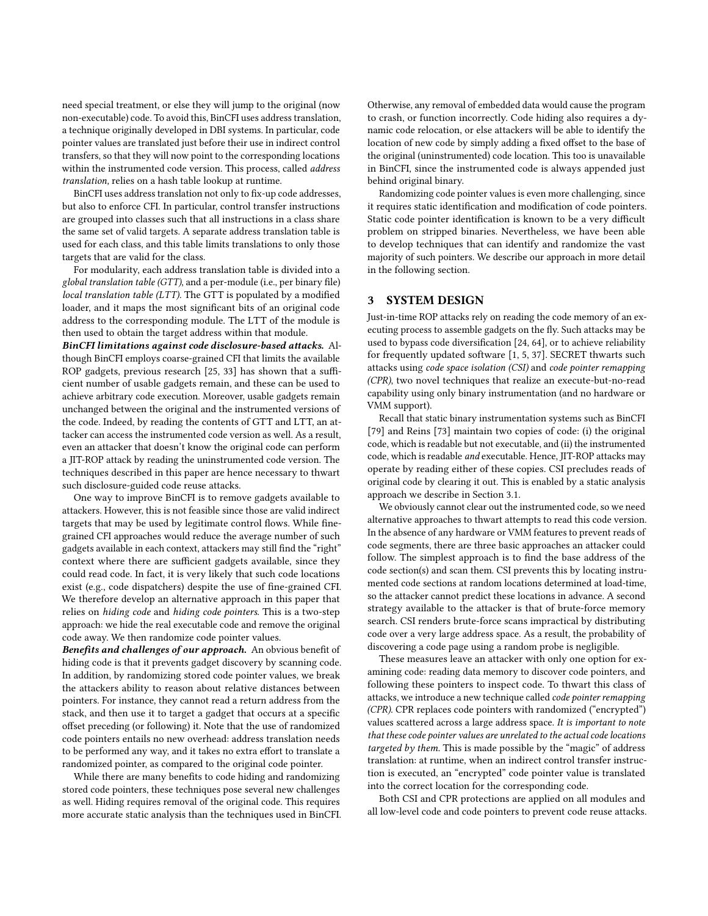need special treatment, or else they will jump to the original (now non-executable) code. To avoid this, BinCFI uses address translation, a technique originally developed in DBI systems. In particular, code pointer values are translated just before their use in indirect control transfers, so that they will now point to the corresponding locations within the instrumented code version. This process, called address translation, relies on a hash table lookup at runtime.

BinCFI uses address translation not only to fix-up code addresses, but also to enforce CFI. In particular, control transfer instructions are grouped into classes such that all instructions in a class share the same set of valid targets. A separate address translation table is used for each class, and this table limits translations to only those targets that are valid for the class.

For modularity, each address translation table is divided into a global translation table (GTT), and a per-module (i.e., per binary file) local translation table (LTT). The GTT is populated by a modified loader, and it maps the most significant bits of an original code address to the corresponding module. The LTT of the module is then used to obtain the target address within that module.

BinCFI limitations against code disclosure-based attacks. Although BinCFI employs coarse-grained CFI that limits the available ROP gadgets, previous research [\[25,](#page-11-16) [33\]](#page-11-17) has shown that a sufficient number of usable gadgets remain, and these can be used to achieve arbitrary code execution. Moreover, usable gadgets remain unchanged between the original and the instrumented versions of the code. Indeed, by reading the contents of GTT and LTT, an attacker can access the instrumented code version as well. As a result, even an attacker that doesn't know the original code can perform a JIT-ROP attack by reading the uninstrumented code version. The techniques described in this paper are hence necessary to thwart such disclosure-guided code reuse attacks.

One way to improve BinCFI is to remove gadgets available to attackers. However, this is not feasible since those are valid indirect targets that may be used by legitimate control flows. While finegrained CFI approaches would reduce the average number of such gadgets available in each context, attackers may still find the "right" context where there are sufficient gadgets available, since they could read code. In fact, it is very likely that such code locations exist (e.g., code dispatchers) despite the use of fine-grained CFI. We therefore develop an alternative approach in this paper that relies on hiding code and hiding code pointers. This is a two-step approach: we hide the real executable code and remove the original code away. We then randomize code pointer values.

Benefits and challenges of our approach. An obvious benefit of hiding code is that it prevents gadget discovery by scanning code. In addition, by randomizing stored code pointer values, we break the attackers ability to reason about relative distances between pointers. For instance, they cannot read a return address from the stack, and then use it to target a gadget that occurs at a specific offset preceding (or following) it. Note that the use of randomized code pointers entails no new overhead: address translation needs to be performed any way, and it takes no extra effort to translate a randomized pointer, as compared to the original code pointer.

While there are many benefits to code hiding and randomizing stored code pointers, these techniques pose several new challenges as well. Hiding requires removal of the original code. This requires more accurate static analysis than the techniques used in BinCFI. Otherwise, any removal of embedded data would cause the program to crash, or function incorrectly. Code hiding also requires a dynamic code relocation, or else attackers will be able to identify the location of new code by simply adding a fixed offset to the base of the original (uninstrumented) code location. This too is unavailable in BinCFI, since the instrumented code is always appended just behind original binary.

Randomizing code pointer values is even more challenging, since it requires static identification and modification of code pointers. Static code pointer identification is known to be a very difficult problem on stripped binaries. Nevertheless, we have been able to develop techniques that can identify and randomize the vast majority of such pointers. We describe our approach in more detail in the following section.

## 3 SYSTEM DESIGN

Just-in-time ROP attacks rely on reading the code memory of an executing process to assemble gadgets on the fly. Such attacks may be used to bypass code diversification [\[24,](#page-11-18) [64\]](#page-12-1), or to achieve reliability for frequently updated software [\[1,](#page-11-19) [5,](#page-11-20) [37\]](#page-11-21). SECRET thwarts such attacks using code space isolation (CSI) and code pointer remapping (CPR), two novel techniques that realize an execute-but-no-read capability using only binary instrumentation (and no hardware or VMM support).

Recall that static binary instrumentation systems such as BinCFI [\[79\]](#page-12-6) and Reins [\[73\]](#page-12-7) maintain two copies of code: (i) the original code, which is readable but not executable, and (ii) the instrumented code, which is readable and executable. Hence, JIT-ROP attacks may operate by reading either of these copies. CSI precludes reads of original code by clearing it out. This is enabled by a static analysis approach we describe in Section [3.1.](#page-3-0)

We obviously cannot clear out the instrumented code, so we need alternative approaches to thwart attempts to read this code version. In the absence of any hardware or VMM features to prevent reads of code segments, there are three basic approaches an attacker could follow. The simplest approach is to find the base address of the code section(s) and scan them. CSI prevents this by locating instrumented code sections at random locations determined at load-time, so the attacker cannot predict these locations in advance. A second strategy available to the attacker is that of brute-force memory search. CSI renders brute-force scans impractical by distributing code over a very large address space. As a result, the probability of discovering a code page using a random probe is negligible.

These measures leave an attacker with only one option for examining code: reading data memory to discover code pointers, and following these pointers to inspect code. To thwart this class of attacks, we introduce a new technique called code pointer remapping (CPR). CPR replaces code pointers with randomized ("encrypted") values scattered across a large address space. It is important to note that these code pointer values are unrelated to the actual code locations targeted by them. This is made possible by the "magic" of address translation: at runtime, when an indirect control transfer instruction is executed, an "encrypted" code pointer value is translated into the correct location for the corresponding code.

Both CSI and CPR protections are applied on all modules and all low-level code and code pointers to prevent code reuse attacks.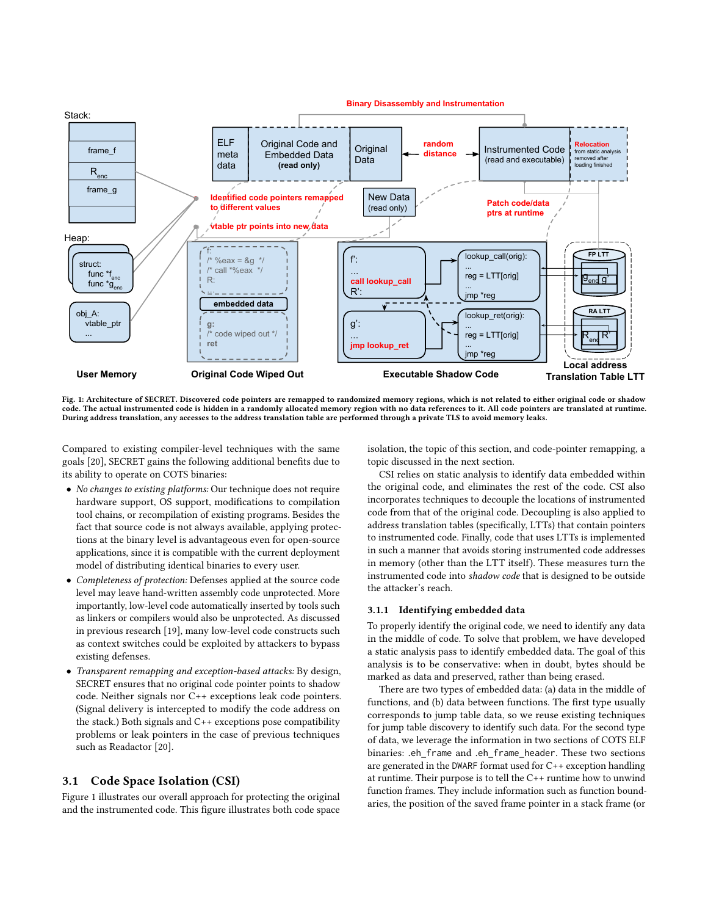<span id="page-3-1"></span>

Fig. 1: Architecture of SECRET. Discovered code pointers are remapped to randomized memory regions, which is not related to either original code or shadow code. The actual instrumented code is hidden in a randomly allocated memory region with no data references to it. All code pointers are translated at runtime. During address translation, any accesses to the address translation table are performed through a private TLS to avoid memory leaks.

Compared to existing compiler-level techniques with the same goals [\[20\]](#page-11-10), SECRET gains the following additional benefits due to its ability to operate on COTS binaries:

- No changes to existing platforms: Our technique does not require hardware support, OS support, modifications to compilation tool chains, or recompilation of existing programs. Besides the fact that source code is not always available, applying protections at the binary level is advantageous even for open-source applications, since it is compatible with the current deployment model of distributing identical binaries to every user.
- Completeness of protection: Defenses applied at the source code level may leave hand-written assembly code unprotected. More importantly, low-level code automatically inserted by tools such as linkers or compilers would also be unprotected. As discussed in previous research [\[19\]](#page-11-22), many low-level code constructs such as context switches could be exploited by attackers to bypass existing defenses.
- Transparent remapping and exception-based attacks: By design, SECRET ensures that no original code pointer points to shadow code. Neither signals nor C++ exceptions leak code pointers. (Signal delivery is intercepted to modify the code address on the stack.) Both signals and C++ exceptions pose compatibility problems or leak pointers in the case of previous techniques such as Readactor [\[20\]](#page-11-10).

## <span id="page-3-0"></span>3.1 Code Space Isolation (CSI)

Figure [1](#page-3-1) illustrates our overall approach for protecting the original and the instrumented code. This figure illustrates both code space isolation, the topic of this section, and code-pointer remapping, a topic discussed in the next section.

CSI relies on static analysis to identify data embedded within the original code, and eliminates the rest of the code. CSI also incorporates techniques to decouple the locations of instrumented code from that of the original code. Decoupling is also applied to address translation tables (specifically, LTTs) that contain pointers to instrumented code. Finally, code that uses LTTs is implemented in such a manner that avoids storing instrumented code addresses in memory (other than the LTT itself). These measures turn the instrumented code into shadow code that is designed to be outside the attacker's reach.

#### 3.1.1 Identifying embedded data

To properly identify the original code, we need to identify any data in the middle of code. To solve that problem, we have developed a static analysis pass to identify embedded data. The goal of this analysis is to be conservative: when in doubt, bytes should be marked as data and preserved, rather than being erased.

There are two types of embedded data: (a) data in the middle of functions, and (b) data between functions. The first type usually corresponds to jump table data, so we reuse existing techniques for jump table discovery to identify such data. For the second type of data, we leverage the information in two sections of COTS ELF binaries: .eh\_frame and .eh\_frame\_header. These two sections are generated in the DWARF format used for C++ exception handling at runtime. Their purpose is to tell the C++ runtime how to unwind function frames. They include information such as function boundaries, the position of the saved frame pointer in a stack frame (or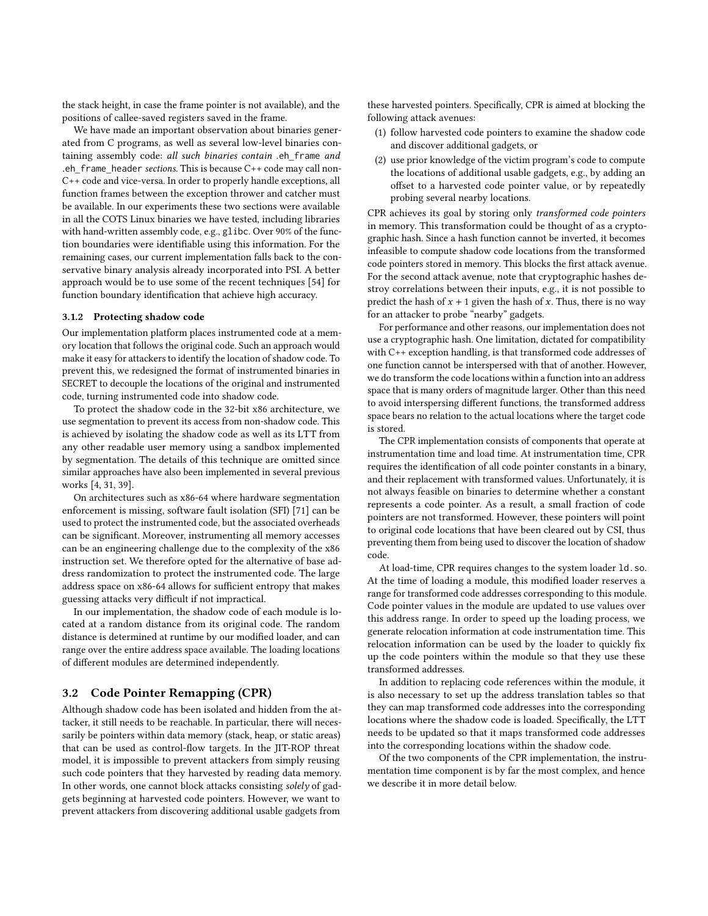the stack height, in case the frame pointer is not available), and the positions of callee-saved registers saved in the frame.

We have made an important observation about binaries generated from C programs, as well as several low-level binaries containing assembly code: all such binaries contain .eh frame and .eh frame header sections. This is because  $C++$  code may call non-C++ code and vice-versa. In order to properly handle exceptions, all function frames between the exception thrower and catcher must be available. In our experiments these two sections were available in all the COTS Linux binaries we have tested, including libraries with hand-written assembly code, e.g., glibc. Over 90% of the function boundaries were identifiable using this information. For the remaining cases, our current implementation falls back to the conservative binary analysis already incorporated into PSI. A better approach would be to use some of the recent techniques [\[54\]](#page-11-23) for function boundary identification that achieve high accuracy.

#### <span id="page-4-1"></span>3.1.2 Protecting shadow code

Our implementation platform places instrumented code at a memory location that follows the original code. Such an approach would make it easy for attackers to identify the location of shadow code. To prevent this, we redesigned the format of instrumented binaries in SECRET to decouple the locations of the original and instrumented code, turning instrumented code into shadow code.

To protect the shadow code in the 32-bit x86 architecture, we use segmentation to prevent its access from non-shadow code. This is achieved by isolating the shadow code as well as its LTT from any other readable user memory using a sandbox implemented by segmentation. The details of this technique are omitted since similar approaches have also been implemented in several previous works [\[4,](#page-11-24) [31,](#page-11-25) [39\]](#page-11-26).

On architectures such as x86-64 where hardware segmentation enforcement is missing, software fault isolation (SFI) [\[71\]](#page-12-8) can be used to protect the instrumented code, but the associated overheads can be significant. Moreover, instrumenting all memory accesses can be an engineering challenge due to the complexity of the x86 instruction set. We therefore opted for the alternative of base address randomization to protect the instrumented code. The large address space on x86-64 allows for sufficient entropy that makes guessing attacks very difficult if not impractical.

In our implementation, the shadow code of each module is located at a random distance from its original code. The random distance is determined at runtime by our modified loader, and can range over the entire address space available. The loading locations of different modules are determined independently.

### <span id="page-4-0"></span>3.2 Code Pointer Remapping (CPR)

Although shadow code has been isolated and hidden from the attacker, it still needs to be reachable. In particular, there will necessarily be pointers within data memory (stack, heap, or static areas) that can be used as control-flow targets. In the JIT-ROP threat model, it is impossible to prevent attackers from simply reusing such code pointers that they harvested by reading data memory. In other words, one cannot block attacks consisting solely of gadgets beginning at harvested code pointers. However, we want to prevent attackers from discovering additional usable gadgets from

these harvested pointers. Specifically, CPR is aimed at blocking the following attack avenues:

- (1) follow harvested code pointers to examine the shadow code and discover additional gadgets, or
- (2) use prior knowledge of the victim program's code to compute the locations of additional usable gadgets, e.g., by adding an offset to a harvested code pointer value, or by repeatedly probing several nearby locations.

CPR achieves its goal by storing only transformed code pointers in memory. This transformation could be thought of as a cryptographic hash. Since a hash function cannot be inverted, it becomes infeasible to compute shadow code locations from the transformed code pointers stored in memory. This blocks the first attack avenue. For the second attack avenue, note that cryptographic hashes destroy correlations between their inputs, e.g., it is not possible to predict the hash of  $x + 1$  given the hash of x. Thus, there is no way for an attacker to probe "nearby" gadgets.

For performance and other reasons, our implementation does not use a cryptographic hash. One limitation, dictated for compatibility with C++ exception handling, is that transformed code addresses of one function cannot be interspersed with that of another. However, we do transform the code locations within a function into an address space that is many orders of magnitude larger. Other than this need to avoid interspersing different functions, the transformed address space bears no relation to the actual locations where the target code is stored.

The CPR implementation consists of components that operate at instrumentation time and load time. At instrumentation time, CPR requires the identification of all code pointer constants in a binary, and their replacement with transformed values. Unfortunately, it is not always feasible on binaries to determine whether a constant represents a code pointer. As a result, a small fraction of code pointers are not transformed. However, these pointers will point to original code locations that have been cleared out by CSI, thus preventing them from being used to discover the location of shadow code.

At load-time, CPR requires changes to the system loader ld.so. At the time of loading a module, this modified loader reserves a range for transformed code addresses corresponding to this module. Code pointer values in the module are updated to use values over this address range. In order to speed up the loading process, we generate relocation information at code instrumentation time. This relocation information can be used by the loader to quickly fix up the code pointers within the module so that they use these transformed addresses.

In addition to replacing code references within the module, it is also necessary to set up the address translation tables so that they can map transformed code addresses into the corresponding locations where the shadow code is loaded. Specifically, the LTT needs to be updated so that it maps transformed code addresses into the corresponding locations within the shadow code.

Of the two components of the CPR implementation, the instrumentation time component is by far the most complex, and hence we describe it in more detail below.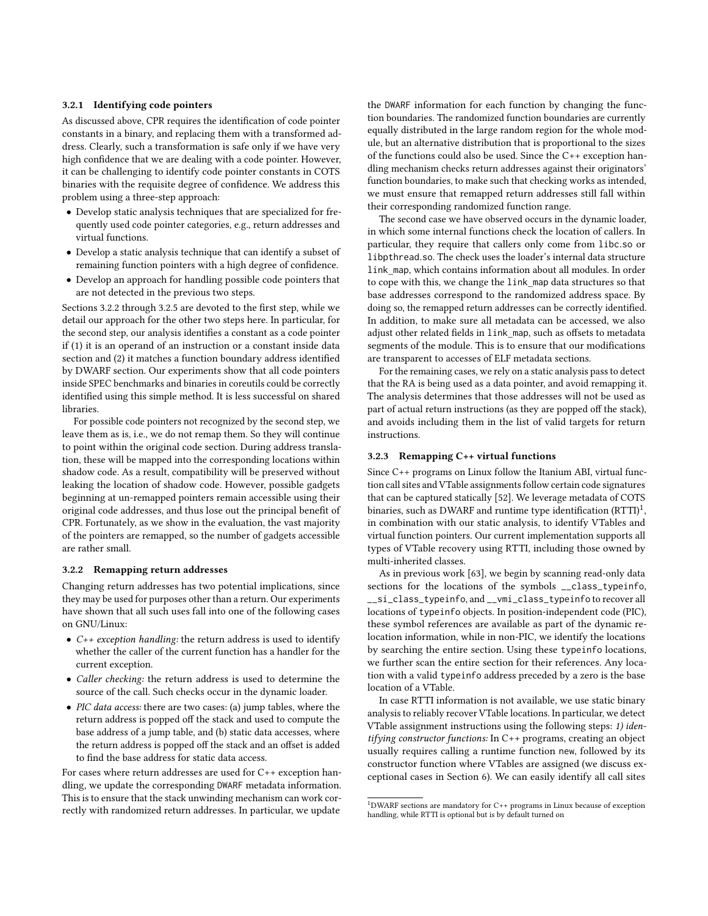#### <span id="page-5-1"></span>3.2.1 Identifying code pointers

As discussed above, CPR requires the identification of code pointer constants in a binary, and replacing them with a transformed address. Clearly, such a transformation is safe only if we have very high confidence that we are dealing with a code pointer. However, it can be challenging to identify code pointer constants in COTS binaries with the requisite degree of confidence. We address this problem using a three-step approach:

- Develop static analysis techniques that are specialized for frequently used code pointer categories, e.g., return addresses and virtual functions.
- Develop a static analysis technique that can identify a subset of remaining function pointers with a high degree of confidence.
- Develop an approach for handling possible code pointers that are not detected in the previous two steps.

Sections [3.2.2](#page-5-0) through [3.2.5](#page-6-0) are devoted to the first step, while we detail our approach for the other two steps here. In particular, for the second step, our analysis identifies a constant as a code pointer if (1) it is an operand of an instruction or a constant inside data section and (2) it matches a function boundary address identified by DWARF section. Our experiments show that all code pointers inside SPEC benchmarks and binaries in coreutils could be correctly identified using this simple method. It is less successful on shared libraries.

For possible code pointers not recognized by the second step, we leave them as is, i.e., we do not remap them. So they will continue to point within the original code section. During address translation, these will be mapped into the corresponding locations within shadow code. As a result, compatibility will be preserved without leaking the location of shadow code. However, possible gadgets beginning at un-remapped pointers remain accessible using their original code addresses, and thus lose out the principal benefit of CPR. Fortunately, as we show in the evaluation, the vast majority of the pointers are remapped, so the number of gadgets accessible are rather small.

#### <span id="page-5-0"></span>3.2.2 Remapping return addresses

Changing return addresses has two potential implications, since they may be used for purposes other than a return. Our experiments have shown that all such uses fall into one of the following cases on GNU/Linux:

- C++ exception handling: the return address is used to identify whether the caller of the current function has a handler for the current exception.
- Caller checking: the return address is used to determine the source of the call. Such checks occur in the dynamic loader.
- PIC data access: there are two cases: (a) jump tables, where the return address is popped off the stack and used to compute the base address of a jump table, and (b) static data accesses, where the return address is popped off the stack and an offset is added to find the base address for static data access.

For cases where return addresses are used for C++ exception handling, we update the corresponding DWARF metadata information. This is to ensure that the stack unwinding mechanism can work correctly with randomized return addresses. In particular, we update

the DWARF information for each function by changing the function boundaries. The randomized function boundaries are currently equally distributed in the large random region for the whole module, but an alternative distribution that is proportional to the sizes of the functions could also be used. Since the C++ exception handling mechanism checks return addresses against their originators' function boundaries, to make such that checking works as intended, we must ensure that remapped return addresses still fall within their corresponding randomized function range.

The second case we have observed occurs in the dynamic loader, in which some internal functions check the location of callers. In particular, they require that callers only come from libc.so or libpthread.so. The check uses the loader's internal data structure link\_map, which contains information about all modules. In order to cope with this, we change the link\_map data structures so that base addresses correspond to the randomized address space. By doing so, the remapped return addresses can be correctly identified. In addition, to make sure all metadata can be accessed, we also adjust other related fields in link\_map, such as offsets to metadata segments of the module. This is to ensure that our modifications are transparent to accesses of ELF metadata sections.

For the remaining cases, we rely on a static analysis pass to detect that the RA is being used as a data pointer, and avoid remapping it. The analysis determines that those addresses will not be used as part of actual return instructions (as they are popped off the stack), and avoids including them in the list of valid targets for return instructions.

## 3.2.3 Remapping C++ virtual functions

Since C++ programs on Linux follow the Itanium ABI, virtual function call sites and VTable assignments follow certain code signatures that can be captured statically [\[52\]](#page-11-27). We leverage metadata of COTS binaries, such as DWARF and runtime type identification  $\rm (RTTI)^1,$  $\rm (RTTI)^1,$  $\rm (RTTI)^1,$ in combination with our static analysis, to identify VTables and virtual function pointers. Our current implementation supports all types of VTable recovery using RTTI, including those owned by multi-inherited classes.

As in previous work [\[63\]](#page-12-9), we begin by scanning read-only data sections for the locations of the symbols \_\_class\_typeinfo, \_\_si\_class\_typeinfo, and \_\_vmi\_class\_typeinfo to recover all locations of typeinfo objects. In position-independent code (PIC), these symbol references are available as part of the dynamic relocation information, while in non-PIC, we identify the locations by searching the entire section. Using these typeinfo locations, we further scan the entire section for their references. Any location with a valid typeinfo address preceded by a zero is the base location of a VTable.

In case RTTI information is not available, we use static binary analysis to reliably recover VTable locations. In particular, we detect VTable assignment instructions using the following steps: 1) identifying constructor functions: In C++ programs, creating an object usually requires calling a runtime function new, followed by its constructor function where VTables are assigned (we discuss exceptional cases in Section [6\)](#page-10-0). We can easily identify all call sites

 $1$ DWARF sections are mandatory for C++ programs in Linux because of exception handling, while RTTI is optional but is by default turned on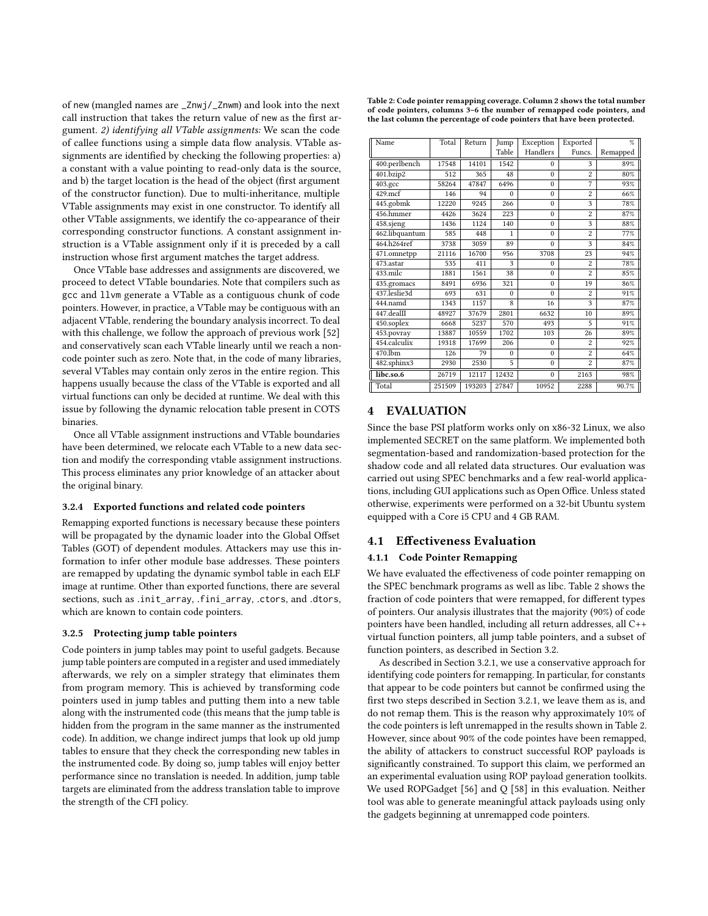of new (mangled names are \_Znwj/\_Znwm) and look into the next call instruction that takes the return value of new as the first argument. 2) identifying all VTable assignments: We scan the code of callee functions using a simple data flow analysis. VTable assignments are identified by checking the following properties: a) a constant with a value pointing to read-only data is the source, and b) the target location is the head of the object (first argument of the constructor function). Due to multi-inheritance, multiple VTable assignments may exist in one constructor. To identify all other VTable assignments, we identify the co-appearance of their corresponding constructor functions. A constant assignment instruction is a VTable assignment only if it is preceded by a call instruction whose first argument matches the target address.

Once VTable base addresses and assignments are discovered, we proceed to detect VTable boundaries. Note that compilers such as gcc and llvm generate a VTable as a contiguous chunk of code pointers. However, in practice, a VTable may be contiguous with an adjacent VTable, rendering the boundary analysis incorrect. To deal with this challenge, we follow the approach of previous work [\[52\]](#page-11-27) and conservatively scan each VTable linearly until we reach a noncode pointer such as zero. Note that, in the code of many libraries, several VTables may contain only zeros in the entire region. This happens usually because the class of the VTable is exported and all virtual functions can only be decided at runtime. We deal with this issue by following the dynamic relocation table present in COTS binaries.

Once all VTable assignment instructions and VTable boundaries have been determined, we relocate each VTable to a new data section and modify the corresponding vtable assignment instructions. This process eliminates any prior knowledge of an attacker about the original binary.

#### 3.2.4 Exported functions and related code pointers

Remapping exported functions is necessary because these pointers will be propagated by the dynamic loader into the Global Offset Tables (GOT) of dependent modules. Attackers may use this information to infer other module base addresses. These pointers are remapped by updating the dynamic symbol table in each ELF image at runtime. Other than exported functions, there are several sections, such as .init\_array, .fini\_array, .ctors, and .dtors, which are known to contain code pointers.

#### <span id="page-6-0"></span>3.2.5 Protecting jump table pointers

Code pointers in jump tables may point to useful gadgets. Because jump table pointers are computed in a register and used immediately afterwards, we rely on a simpler strategy that eliminates them from program memory. This is achieved by transforming code pointers used in jump tables and putting them into a new table along with the instrumented code (this means that the jump table is hidden from the program in the same manner as the instrumented code). In addition, we change indirect jumps that look up old jump tables to ensure that they check the corresponding new tables in the instrumented code. By doing so, jump tables will enjoy better performance since no translation is needed. In addition, jump table targets are eliminated from the address translation table to improve the strength of the CFI policy.

<span id="page-6-1"></span>

| Table 2: Code pointer remapping coverage. Column 2 shows the total number |
|---------------------------------------------------------------------------|
| of code pointers, columns 3–6 the number of remapped code pointers, and   |
| the last column the percentage of code pointers that have been protected. |

| Name           | Total  | Return | Jump         | Exception | Exported       | $\%$     |
|----------------|--------|--------|--------------|-----------|----------------|----------|
|                |        |        | Table        | Handlers  | Funcs.         | Remapped |
| 400.perlbench  | 17548  | 14101  | 1542         | $\Omega$  | 3              | 89%      |
| 401.bzip2      | 512    | 365    | 48           | $\theta$  | $\overline{c}$ | 80%      |
| 403.gcc        | 58264  | 47847  | 6496         | $\Omega$  | 7              | 93%      |
| 429.mcf        | 146    | 94     | $\Omega$     | $\Omega$  | $\overline{c}$ | 66%      |
| 445.gobmk      | 12220  | 9245   | 266          | $\Omega$  | 3              | 78%      |
| 456.hmmer      | 4426   | 3624   | 223          | $\Omega$  | $\overline{c}$ | 87%      |
| 458.sjeng      | 1436   | 1124   | 140          | $\Omega$  | 3              | 88%      |
| 462.libquantum | 585    | 448    | 1            | $\theta$  | $\overline{c}$ | 77%      |
| 464.h264ref    | 3738   | 3059   | 89           | $\theta$  | 3              | 84%      |
| 471.omnetpp    | 21116  | 16700  | 956          | 3708      | 23             | 94%      |
| 473.astar      | 535    | 411    | 3            | $\theta$  | $\overline{c}$ | 78%      |
| 433.milc       | 1881   | 1561   | 38           | $\theta$  | $\overline{c}$ | 85%      |
| 435.gromacs    | 8491   | 6936   | 321          | $\Omega$  | 19             | 86%      |
| 437.leslie3d   | 693    | 631    | $\mathbf{0}$ | $\Omega$  | $\overline{c}$ | 91%      |
| 444.namd       | 1343   | 1157   | 8            | 16        | 3              | 87%      |
| 447.dealII     | 48927  | 37679  | 2801         | 6632      | 10             | 89%      |
| 450.soplex     | 6668   | 5237   | 570          | 493       | 5              | 91%      |
| 453.povray     | 13887  | 10559  | 1702         | 103       | 26             | 89%      |
| 454.calculix   | 19318  | 17699  | 206          | $\theta$  | $\overline{c}$ | 92%      |
| 470.1bm        | 126    | 79     | $\Omega$     | $\Omega$  | $\overline{c}$ | 64%      |
| 482.sphinx3    | 2930   | 2530   | 5            | $\theta$  | $\overline{c}$ | 87%      |
| libc.so.6      | 26719  | 12117  | 12432        | $\theta$  | 2163           | 98%      |
| Total          | 251509 | 193203 | 27847        | 10952     | 2288           | 90.7%    |

### 4 EVALUATION

Since the base PSI platform works only on x86-32 Linux, we also implemented SECRET on the same platform. We implemented both segmentation-based and randomization-based protection for the shadow code and all related data structures. Our evaluation was carried out using SPEC benchmarks and a few real-world applications, including GUI applications such as Open Office. Unless stated otherwise, experiments were performed on a 32-bit Ubuntu system equipped with a Core i5 CPU and 4 GB RAM.

#### 4.1 Effectiveness Evaluation

## 4.1.1 Code Pointer Remapping

We have evaluated the effectiveness of code pointer remapping on the SPEC benchmark programs as well as libc. Table [2](#page-6-1) shows the fraction of code pointers that were remapped, for different types of pointers. Our analysis illustrates that the majority (90%) of code pointers have been handled, including all return addresses, all C++ virtual function pointers, all jump table pointers, and a subset of function pointers, as described in Section [3.2.](#page-4-0)

As described in Section [3.2.1,](#page-5-1) we use a conservative approach for identifying code pointers for remapping. In particular, for constants that appear to be code pointers but cannot be confirmed using the first two steps described in Section [3.2.1,](#page-5-1) we leave them as is, and do not remap them. This is the reason why approximately 10% of the code pointers is left unremapped in the results shown in Table [2.](#page-6-1) However, since about 90% of the code pointes have been remapped, the ability of attackers to construct successful ROP payloads is significantly constrained. To support this claim, we performed an an experimental evaluation using ROP payload generation toolkits. We used ROPGadget [\[56\]](#page-11-28) and Q [\[58\]](#page-11-29) in this evaluation. Neither tool was able to generate meaningful attack payloads using only the gadgets beginning at unremapped code pointers.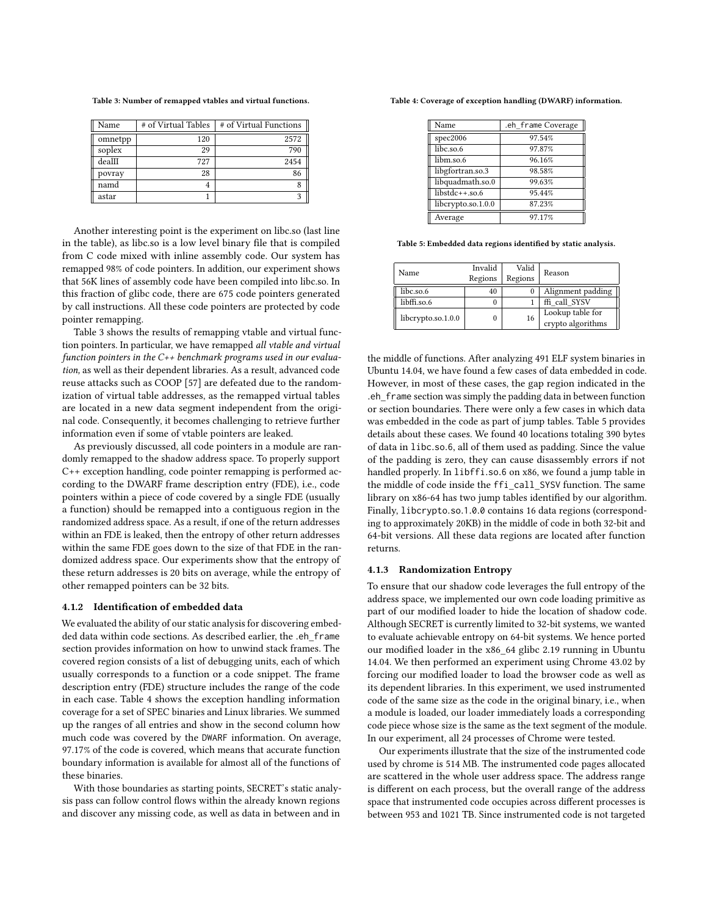<span id="page-7-0"></span>Table 3: Number of remapped vtables and virtual functions.

| Name    | # of Virtual Tables | # of Virtual Functions |
|---------|---------------------|------------------------|
| omnetpp | 120                 | 2572                   |
| soplex  | 29                  | 790                    |
| dealII  | 727                 | 2454                   |
| povray  | 28                  | 86                     |
| namd    |                     |                        |
| astar   |                     | 2                      |

Another interesting point is the experiment on libc.so (last line in the table), as libc.so is a low level binary file that is compiled from C code mixed with inline assembly code. Our system has remapped 98% of code pointers. In addition, our experiment shows that 56K lines of assembly code have been compiled into libc.so. In this fraction of glibc code, there are 675 code pointers generated by call instructions. All these code pointers are protected by code pointer remapping.

Table [3](#page-7-0) shows the results of remapping vtable and virtual function pointers. In particular, we have remapped all vtable and virtual function pointers in the C++ benchmark programs used in our evaluation, as well as their dependent libraries. As a result, advanced code reuse attacks such as COOP [\[57\]](#page-11-30) are defeated due to the randomization of virtual table addresses, as the remapped virtual tables are located in a new data segment independent from the original code. Consequently, it becomes challenging to retrieve further information even if some of vtable pointers are leaked.

As previously discussed, all code pointers in a module are randomly remapped to the shadow address space. To properly support C++ exception handling, code pointer remapping is performed according to the DWARF frame description entry (FDE), i.e., code pointers within a piece of code covered by a single FDE (usually a function) should be remapped into a contiguous region in the randomized address space. As a result, if one of the return addresses within an FDE is leaked, then the entropy of other return addresses within the same FDE goes down to the size of that FDE in the randomized address space. Our experiments show that the entropy of these return addresses is 20 bits on average, while the entropy of other remapped pointers can be 32 bits.

#### 4.1.2 Identification of embedded data

We evaluated the ability of our static analysis for discovering embedded data within code sections. As described earlier, the .eh\_frame section provides information on how to unwind stack frames. The covered region consists of a list of debugging units, each of which usually corresponds to a function or a code snippet. The frame description entry (FDE) structure includes the range of the code in each case. Table [4](#page-7-1) shows the exception handling information coverage for a set of SPEC binaries and Linux libraries. We summed up the ranges of all entries and show in the second column how much code was covered by the DWARF information. On average, 97.17% of the code is covered, which means that accurate function boundary information is available for almost all of the functions of these binaries.

With those boundaries as starting points, SECRET's static analysis pass can follow control flows within the already known regions and discover any missing code, as well as data in between and in

<span id="page-7-1"></span>Table 4: Coverage of exception handling (DWARF) information.

| Name               | .eh frame Coverage |
|--------------------|--------------------|
| spec2006           | 97.54%             |
| libc.so.6          | 97.87%             |
| libm.so.6          | 96.16%             |
| libgfortran.so.3   | 98.58%             |
| libquadmath.so.0   | 99.63%             |
| $libstdc++.so.6$   | 95.44%             |
| libcrypto.so.1.0.0 | 87.23%             |
| Average            | 97.17%             |

<span id="page-7-2"></span>Table 5: Embedded data regions identified by static analysis.

| Name               | Invalid<br>Regions | Valid<br>Regions | Reason                                |
|--------------------|--------------------|------------------|---------------------------------------|
| libc.so.6          | 40                 | 0                | Alignment padding                     |
| libffi.so.6        | 0                  |                  | ffi call SYSV                         |
| libcrypto.so.1.0.0 | 0                  | 16               | Lookup table for<br>crypto algorithms |

the middle of functions. After analyzing 491 ELF system binaries in Ubuntu 14.04, we have found a few cases of data embedded in code. However, in most of these cases, the gap region indicated in the .eh\_frame section was simply the padding data in between function or section boundaries. There were only a few cases in which data was embedded in the code as part of jump tables. Table [5](#page-7-2) provides details about these cases. We found 40 locations totaling 390 bytes of data in libc.so.6, all of them used as padding. Since the value of the padding is zero, they can cause disassembly errors if not handled properly. In libffi.so.<sup>6</sup> on x86, we found a jump table in the middle of code inside the ffi\_call\_SYSV function. The same library on x86-64 has two jump tables identified by our algorithm. Finally, libcrypto.so.1.0.<sup>0</sup> contains 16 data regions (corresponding to approximately 20KB) in the middle of code in both 32-bit and 64-bit versions. All these data regions are located after function returns.

#### <span id="page-7-3"></span>4.1.3 Randomization Entropy

To ensure that our shadow code leverages the full entropy of the address space, we implemented our own code loading primitive as part of our modified loader to hide the location of shadow code. Although SECRET is currently limited to 32-bit systems, we wanted to evaluate achievable entropy on 64-bit systems. We hence ported our modified loader in the x86\_64 glibc 2.19 running in Ubuntu 14.04. We then performed an experiment using Chrome 43.02 by forcing our modified loader to load the browser code as well as its dependent libraries. In this experiment, we used instrumented code of the same size as the code in the original binary, i.e., when a module is loaded, our loader immediately loads a corresponding code piece whose size is the same as the text segment of the module. In our experiment, all 24 processes of Chrome were tested.

Our experiments illustrate that the size of the instrumented code used by chrome is 514 MB. The instrumented code pages allocated are scattered in the whole user address space. The address range is different on each process, but the overall range of the address space that instrumented code occupies across different processes is between 953 and 1021 TB. Since instrumented code is not targeted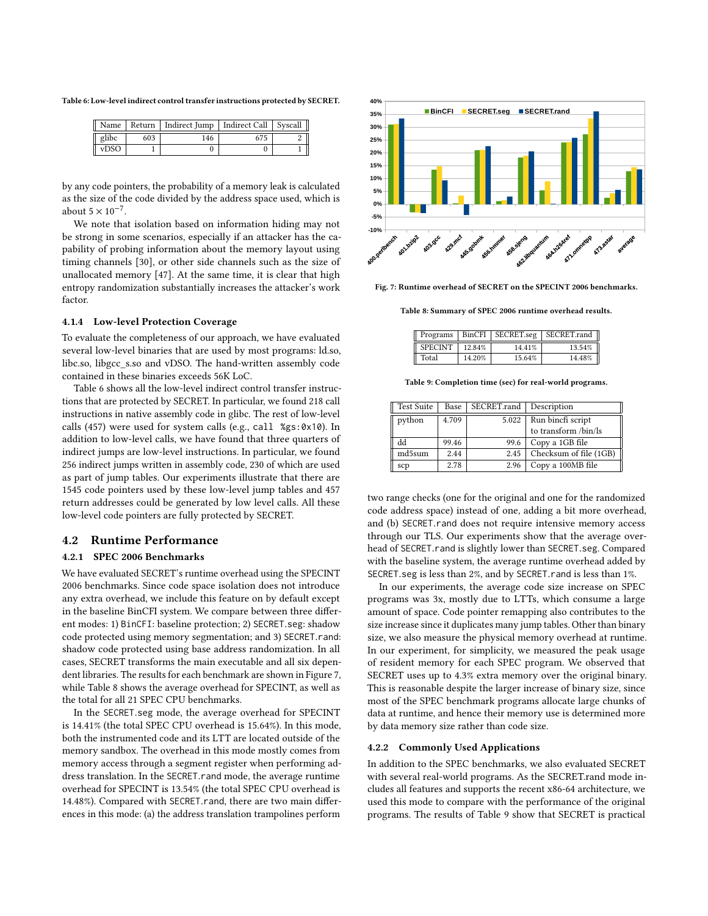<span id="page-8-0"></span>Table 6: Low-level indirect control transfer instructions protected by SECRET.

| Name  |     | Return   Indirect Jump   Indirect Call   Syscall |  |
|-------|-----|--------------------------------------------------|--|
| glibc | 603 | 146                                              |  |
| vDSO  |     |                                                  |  |

by any code pointers, the probability of a memory leak is calculated as the size of the code divided by the address space used, which is about  $5 \times 10^{-7}$ .

We note that isolation based on information hiding may not be strong in some scenarios, especially if an attacker has the capability of probing information about the memory layout using timing channels [\[30\]](#page-11-31), or other side channels such as the size of unallocated memory [\[47\]](#page-11-32). At the same time, it is clear that high entropy randomization substantially increases the attacker's work factor.

#### 4.1.4 Low-level Protection Coverage

To evaluate the completeness of our approach, we have evaluated several low-level binaries that are used by most programs: ld.so, libc.so, libgcc\_s.so and vDSO. The hand-written assembly code contained in these binaries exceeds 56K LoC.

Table [6](#page-8-0) shows all the low-level indirect control transfer instructions that are protected by SECRET. In particular, we found 218 call instructions in native assembly code in glibc. The rest of low-level calls (457) were used for system calls (e.g., call %gs:0x10). In addition to low-level calls, we have found that three quarters of indirect jumps are low-level instructions. In particular, we found 256 indirect jumps written in assembly code, 230 of which are used as part of jump tables. Our experiments illustrate that there are 1545 code pointers used by these low-level jump tables and 457 return addresses could be generated by low level calls. All these low-level code pointers are fully protected by SECRET.

## 4.2 Runtime Performance

## 4.2.1 SPEC 2006 Benchmarks

We have evaluated SECRET's runtime overhead using the SPECINT 2006 benchmarks. Since code space isolation does not introduce any extra overhead, we include this feature on by default except in the baseline BinCFI system. We compare between three different modes: 1) BinCFI: baseline protection; 2) SECRET.seg: shadow code protected using memory segmentation; and 3) SECRET.rand: shadow code protected using base address randomization. In all cases, SECRET transforms the main executable and all six dependent libraries. The results for each benchmark are shown in Figure [7,](#page-8-1) while Table [8](#page-8-2) shows the average overhead for SPECINT, as well as the total for all 21 SPEC CPU benchmarks.

In the SECRET.seg mode, the average overhead for SPECINT is 14.41% (the total SPEC CPU overhead is 15.64%). In this mode, both the instrumented code and its LTT are located outside of the memory sandbox. The overhead in this mode mostly comes from memory access through a segment register when performing address translation. In the SECRET.rand mode, the average runtime overhead for SPECINT is 13.54% (the total SPEC CPU overhead is 14.48%). Compared with SECRET.rand, there are two main differences in this mode: (a) the address translation trampolines perform

<span id="page-8-1"></span>

<span id="page-8-2"></span>Fig. 7: Runtime overhead of SECRET on the SPECINT 2006 benchmarks.

Table 8: Summary of SPEC 2006 runtime overhead results.

|                |        |        | Programs   BinCFI   SECRET.seg   SECRET.rand |
|----------------|--------|--------|----------------------------------------------|
| <b>SPECINT</b> | 12.84% | 14.41% | 13.54%                                       |
| Total          | 14.20% | 15.64% | 14.48%                                       |

Table 9: Completion time (sec) for real-world programs.

<span id="page-8-3"></span>

| <b>Test Suite</b> | Base  | SECRET.rand | Description            |
|-------------------|-------|-------------|------------------------|
| python            | 4.709 | 5.022       | Run bincfi script      |
|                   |       |             | to transform /bin/ls   |
| hh                | 99.46 | 99.6        | Copy a 1GB file        |
| md5sum            | 2.44  | 2.45        | Checksum of file (1GB) |
| scp               | 2.78  | 2.96        | Copy a 100MB file      |

two range checks (one for the original and one for the randomized code address space) instead of one, adding a bit more overhead, and (b) SECRET.rand does not require intensive memory access through our TLS. Our experiments show that the average overhead of SECRET.rand is slightly lower than SECRET.seg. Compared with the baseline system, the average runtime overhead added by SECRET.seg is less than 2%, and by SECRET.rand is less than 1%.

In our experiments, the average code size increase on SPEC programs was 3x, mostly due to LTTs, which consume a large amount of space. Code pointer remapping also contributes to the size increase since it duplicates many jump tables. Other than binary size, we also measure the physical memory overhead at runtime. In our experiment, for simplicity, we measured the peak usage of resident memory for each SPEC program. We observed that SECRET uses up to 4.3% extra memory over the original binary. This is reasonable despite the larger increase of binary size, since most of the SPEC benchmark programs allocate large chunks of data at runtime, and hence their memory use is determined more by data memory size rather than code size.

#### 4.2.2 Commonly Used Applications

In addition to the SPEC benchmarks, we also evaluated SECRET with several real-world programs. As the SECRET.rand mode includes all features and supports the recent x86-64 architecture, we used this mode to compare with the performance of the original programs. The results of Table [9](#page-8-3) show that SECRET is practical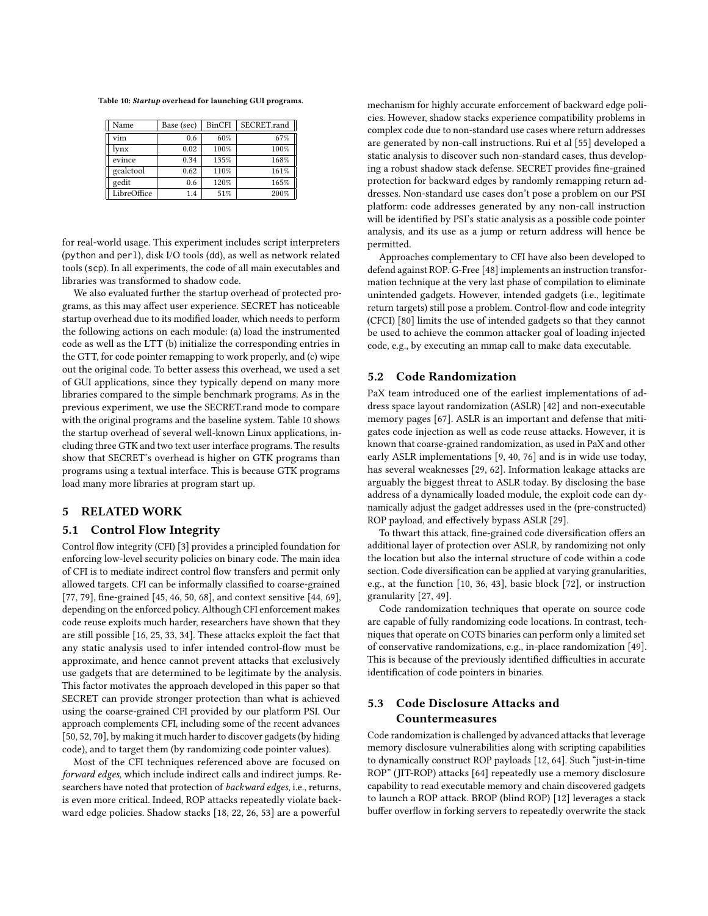<span id="page-9-0"></span>Table 10: Startup overhead for launching GUI programs.

| Name        | Base (sec) | BinCFI | SECRET.rand |
|-------------|------------|--------|-------------|
| vim         | 0.6        | 60%    | 67%         |
| lvnx        | 0.02       | 100%   | 100%        |
| evince      | 0.34       | 135%   | 168%        |
| gcalctool   | 0.62       | 110%   | 161%        |
| gedit       | 0.6        | 120%   | 165%        |
| LibreOffice | 1.4        | 51%    | 200%        |

for real-world usage. This experiment includes script interpreters (python and perl), disk I/O tools (dd), as well as network related tools (scp). In all experiments, the code of all main executables and libraries was transformed to shadow code.

We also evaluated further the startup overhead of protected programs, as this may affect user experience. SECRET has noticeable startup overhead due to its modified loader, which needs to perform the following actions on each module: (a) load the instrumented code as well as the LTT (b) initialize the corresponding entries in the GTT, for code pointer remapping to work properly, and (c) wipe out the original code. To better assess this overhead, we used a set of GUI applications, since they typically depend on many more libraries compared to the simple benchmark programs. As in the previous experiment, we use the SECRET.rand mode to compare with the original programs and the baseline system. Table [10](#page-9-0) shows the startup overhead of several well-known Linux applications, including three GTK and two text user interface programs. The results show that SECRET's overhead is higher on GTK programs than programs using a textual interface. This is because GTK programs load many more libraries at program start up.

## 5 RELATED WORK

#### 5.1 Control Flow Integrity

Control flow integrity (CFI) [\[3\]](#page-11-33) provides a principled foundation for enforcing low-level security policies on binary code. The main idea of CFI is to mediate indirect control flow transfers and permit only allowed targets. CFI can be informally classified to coarse-grained [\[77,](#page-12-10) [79\]](#page-12-6), fine-grained [\[45,](#page-11-34) [46,](#page-11-35) [50,](#page-11-36) [68\]](#page-12-11), and context sensitive [\[44,](#page-11-37) [69\]](#page-12-12), depending on the enforced policy. Although CFI enforcement makes code reuse exploits much harder, researchers have shown that they are still possible [\[16,](#page-11-38) [25,](#page-11-16) [33,](#page-11-17) [34\]](#page-11-39). These attacks exploit the fact that any static analysis used to infer intended control-flow must be approximate, and hence cannot prevent attacks that exclusively use gadgets that are determined to be legitimate by the analysis. This factor motivates the approach developed in this paper so that SECRET can provide stronger protection than what is achieved using the coarse-grained CFI provided by our platform PSI. Our approach complements CFI, including some of the recent advances [\[50,](#page-11-36) [52,](#page-11-27) [70\]](#page-12-13), by making it much harder to discover gadgets (by hiding code), and to target them (by randomizing code pointer values).

Most of the CFI techniques referenced above are focused on forward edges, which include indirect calls and indirect jumps. Researchers have noted that protection of backward edges, i.e., returns, is even more critical. Indeed, ROP attacks repeatedly violate backward edge policies. Shadow stacks [\[18,](#page-11-40) [22,](#page-11-41) [26,](#page-11-42) [53\]](#page-11-43) are a powerful

mechanism for highly accurate enforcement of backward edge policies. However, shadow stacks experience compatibility problems in complex code due to non-standard use cases where return addresses are generated by non-call instructions. Rui et al [\[55\]](#page-11-44) developed a static analysis to discover such non-standard cases, thus developing a robust shadow stack defense. SECRET provides fine-grained protection for backward edges by randomly remapping return addresses. Non-standard use cases don't pose a problem on our PSI platform: code addresses generated by any non-call instruction will be identified by PSI's static analysis as a possible code pointer analysis, and its use as a jump or return address will hence be permitted.

Approaches complementary to CFI have also been developed to defend against ROP. G-Free [\[48\]](#page-11-45) implements an instruction transformation technique at the very last phase of compilation to eliminate unintended gadgets. However, intended gadgets (i.e., legitimate return targets) still pose a problem. Control-flow and code integrity (CFCI) [\[80\]](#page-12-14) limits the use of intended gadgets so that they cannot be used to achieve the common attacker goal of loading injected code, e.g., by executing an mmap call to make data executable.

## 5.2 Code Randomization

PaX team introduced one of the earliest implementations of address space layout randomization (ASLR) [\[42\]](#page-11-46) and non-executable memory pages [\[67\]](#page-12-15). ASLR is an important and defense that mitigates code injection as well as code reuse attacks. However, it is known that coarse-grained randomization, as used in PaX and other early ASLR implementations [\[9,](#page-11-47) [40,](#page-11-48) [76\]](#page-12-16) and is in wide use today, has several weaknesses [\[29,](#page-11-49) [62\]](#page-12-17). Information leakage attacks are arguably the biggest threat to ASLR today. By disclosing the base address of a dynamically loaded module, the exploit code can dynamically adjust the gadget addresses used in the (pre-constructed) ROP payload, and effectively bypass ASLR [\[29\]](#page-11-49).

To thwart this attack, fine-grained code diversification offers an additional layer of protection over ASLR, by randomizing not only the location but also the internal structure of code within a code section. Code diversification can be applied at varying granularities, e.g., at the function [\[10,](#page-11-3) [36,](#page-11-50) [43\]](#page-11-51), basic block [\[72\]](#page-12-2), or instruction granularity [\[27,](#page-11-4) [49\]](#page-11-6).

Code randomization techniques that operate on source code are capable of fully randomizing code locations. In contrast, techniques that operate on COTS binaries can perform only a limited set of conservative randomizations, e.g., in-place randomization [\[49\]](#page-11-6). This is because of the previously identified difficulties in accurate identification of code pointers in binaries.

# 5.3 Code Disclosure Attacks and Countermeasures

Code randomization is challenged by advanced attacks that leverage memory disclosure vulnerabilities along with scripting capabilities to dynamically construct ROP payloads [\[12,](#page-11-2) [64\]](#page-12-1). Such "just-in-time ROP" (JIT-ROP) attacks [\[64\]](#page-12-1) repeatedly use a memory disclosure capability to read executable memory and chain discovered gadgets to launch a ROP attack. BROP (blind ROP) [\[12\]](#page-11-2) leverages a stack buffer overflow in forking servers to repeatedly overwrite the stack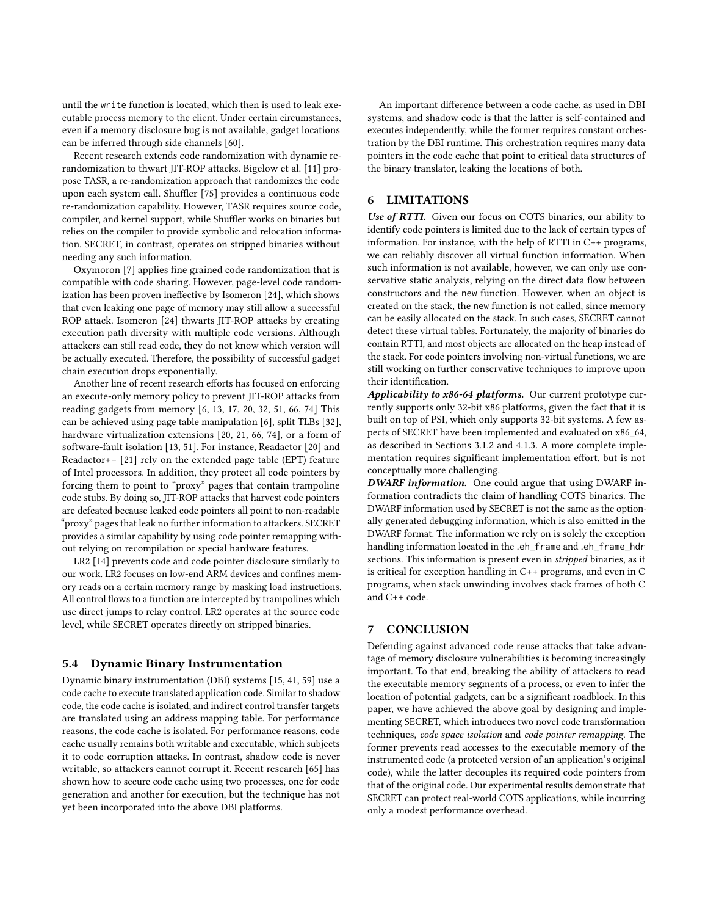until the write function is located, which then is used to leak executable process memory to the client. Under certain circumstances, even if a memory disclosure bug is not available, gadget locations can be inferred through side channels [\[60\]](#page-11-52).

Recent research extends code randomization with dynamic rerandomization to thwart JIT-ROP attacks. Bigelow et al. [\[11\]](#page-11-53) propose TASR, a re-randomization approach that randomizes the code upon each system call. Shuffler [\[75\]](#page-12-18) provides a continuous code re-randomization capability. However, TASR requires source code, compiler, and kernel support, while Shuffler works on binaries but relies on the compiler to provide symbolic and relocation information. SECRET, in contrast, operates on stripped binaries without needing any such information.

Oxymoron [\[7\]](#page-11-54) applies fine grained code randomization that is compatible with code sharing. However, page-level code randomization has been proven ineffective by Isomeron [\[24\]](#page-11-18), which shows that even leaking one page of memory may still allow a successful ROP attack. Isomeron [\[24\]](#page-11-18) thwarts JIT-ROP attacks by creating execution path diversity with multiple code versions. Although attackers can still read code, they do not know which version will be actually executed. Therefore, the possibility of successful gadget chain execution drops exponentially.

Another line of recent research efforts has focused on enforcing an execute-only memory policy to prevent JIT-ROP attacks from reading gadgets from memory [\[6,](#page-11-7) [13,](#page-11-8) [17,](#page-11-9) [20,](#page-11-10) [32,](#page-11-11) [51,](#page-11-12) [66,](#page-12-3) [74\]](#page-12-4) This can be achieved using page table manipulation [\[6\]](#page-11-7), split TLBs [\[32\]](#page-11-11), hardware virtualization extensions [\[20,](#page-11-10) [21,](#page-11-55) [66,](#page-12-3) [74\]](#page-12-4), or a form of software-fault isolation [\[13,](#page-11-8) [51\]](#page-11-12). For instance, Readactor [\[20\]](#page-11-10) and Readactor++ [\[21\]](#page-11-55) rely on the extended page table (EPT) feature of Intel processors. In addition, they protect all code pointers by forcing them to point to "proxy" pages that contain trampoline code stubs. By doing so, JIT-ROP attacks that harvest code pointers are defeated because leaked code pointers all point to non-readable "proxy" pages that leak no further information to attackers. SECRET provides a similar capability by using code pointer remapping without relying on recompilation or special hardware features.

LR2 [\[14\]](#page-11-56) prevents code and code pointer disclosure similarly to our work. LR2 focuses on low-end ARM devices and confines memory reads on a certain memory range by masking load instructions. All control flows to a function are intercepted by trampolines which use direct jumps to relay control. LR2 operates at the source code level, while SECRET operates directly on stripped binaries.

#### 5.4 Dynamic Binary Instrumentation

Dynamic binary instrumentation (DBI) systems [\[15,](#page-11-57) [41,](#page-11-58) [59\]](#page-11-59) use a code cache to execute translated application code. Similar to shadow code, the code cache is isolated, and indirect control transfer targets are translated using an address mapping table. For performance reasons, the code cache is isolated. For performance reasons, code cache usually remains both writable and executable, which subjects it to code corruption attacks. In contrast, shadow code is never writable, so attackers cannot corrupt it. Recent research [\[65\]](#page-12-19) has shown how to secure code cache using two processes, one for code generation and another for execution, but the technique has not yet been incorporated into the above DBI platforms.

An important difference between a code cache, as used in DBI systems, and shadow code is that the latter is self-contained and executes independently, while the former requires constant orchestration by the DBI runtime. This orchestration requires many data pointers in the code cache that point to critical data structures of the binary translator, leaking the locations of both.

## <span id="page-10-0"></span>6 LIMITATIONS

Use of RTTI. Given our focus on COTS binaries, our ability to identify code pointers is limited due to the lack of certain types of information. For instance, with the help of RTTI in C++ programs, we can reliably discover all virtual function information. When such information is not available, however, we can only use conservative static analysis, relying on the direct data flow between constructors and the new function. However, when an object is created on the stack, the new function is not called, since memory can be easily allocated on the stack. In such cases, SECRET cannot detect these virtual tables. Fortunately, the majority of binaries do contain RTTI, and most objects are allocated on the heap instead of the stack. For code pointers involving non-virtual functions, we are still working on further conservative techniques to improve upon their identification.

Applicability to x86-64 platforms. Our current prototype currently supports only 32-bit x86 platforms, given the fact that it is built on top of PSI, which only supports 32-bit systems. A few aspects of SECRET have been implemented and evaluated on x86\_64, as described in Sections [3.1.2](#page-4-1) and [4.1.3.](#page-7-3) A more complete implementation requires significant implementation effort, but is not conceptually more challenging.

DWARF information. One could argue that using DWARF information contradicts the claim of handling COTS binaries. The DWARF information used by SECRET is not the same as the optionally generated debugging information, which is also emitted in the DWARF format. The information we rely on is solely the exception handling information located in the .eh\_frame and .eh\_frame\_hdr sections. This information is present even in stripped binaries, as it is critical for exception handling in C++ programs, and even in C programs, when stack unwinding involves stack frames of both C and C++ code.

# 7 CONCLUSION

Defending against advanced code reuse attacks that take advantage of memory disclosure vulnerabilities is becoming increasingly important. To that end, breaking the ability of attackers to read the executable memory segments of a process, or even to infer the location of potential gadgets, can be a significant roadblock. In this paper, we have achieved the above goal by designing and implementing SECRET, which introduces two novel code transformation techniques, code space isolation and code pointer remapping. The former prevents read accesses to the executable memory of the instrumented code (a protected version of an application's original code), while the latter decouples its required code pointers from that of the original code. Our experimental results demonstrate that SECRET can protect real-world COTS applications, while incurring only a modest performance overhead.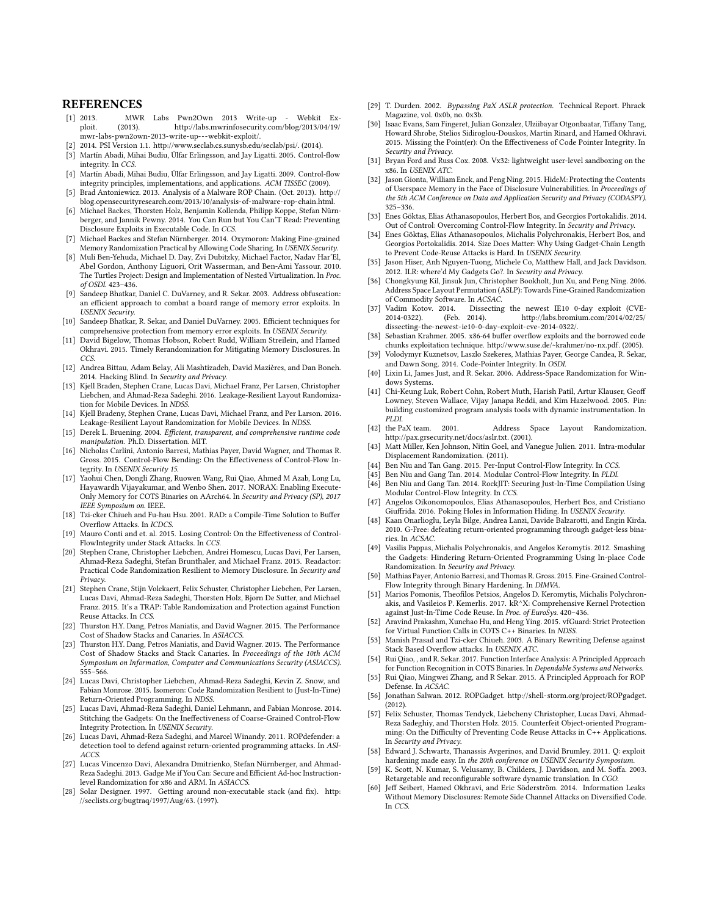#### **REFERENCES**

- <span id="page-11-19"></span>[1] 2013. MWR Labs Pwn2Own 2013 Write-up - Webkit Exploit. (2013). [http://labs.mwrinfosecurity.com/blog/2013/04/19/](http://labs.mwrinfosecurity.com/blog/2013/04/19/mwr-labs-pwn2own-2013-write-up---webkit-exploit/) [mwr-labs-pwn2own-2013-write-up---webkit-exploit/.](http://labs.mwrinfosecurity.com/blog/2013/04/19/mwr-labs-pwn2own-2013-write-up---webkit-exploit/)
- <span id="page-11-15"></span>[2] 2014. PSI Version 1.1. [http://www.seclab.cs.sunysb.edu/seclab/psi/.](http://www.seclab.cs.sunysb.edu/seclab/psi/) (2014).
- <span id="page-11-33"></span>[3] Martín Abadi, Mihai Budiu, Úlfar Erlingsson, and Jay Ligatti. 2005. Control-flow integrity. In CCS.
- <span id="page-11-24"></span>[4] Martín Abadi, Mihai Budiu, Úlfar Erlingsson, and Jay Ligatti. 2009. Control-flow integrity principles, implementations, and applications. ACM TISSEC (2009).
- <span id="page-11-20"></span>[5] Brad Antoniewicz. 2013. Analysis of a Malware ROP Chain. (Oct. 2013). [http://](http://blog.opensecurityresearch.com/2013/10/analysis-of-malware-rop-chain.html) [blog.opensecurityresearch.com/2013/10/analysis-of-malware-rop-chain.html.](http://blog.opensecurityresearch.com/2013/10/analysis-of-malware-rop-chain.html)
- <span id="page-11-7"></span>[6] Michael Backes, Thorsten Holz, Benjamin Kollenda, Philipp Koppe, Stefan Nürnberger, and Jannik Pewny. 2014. You Can Run but You Can'T Read: Preventing Disclosure Exploits in Executable Code. In CCS.
- <span id="page-11-54"></span>[7] Michael Backes and Stefan Nürnberger. 2014. Oxymoron: Making Fine-grained Memory Randomization Practical by Allowing Code Sharing. In USENIX Security.
- <span id="page-11-13"></span>[8] Muli Ben-Yehuda, Michael D. Day, Zvi Dubitzky, Michael Factor, Nadav Har'El, Abel Gordon, Anthony Liguori, Orit Wasserman, and Ben-Ami Yassour. 2010. The Turtles Project: Design and Implementation of Nested Virtualization. In Proc. of OSDI. 423–436.
- <span id="page-11-47"></span>[9] Sandeep Bhatkar, Daniel C. DuVarney, and R. Sekar. 2003. Address obfuscation: an efficient approach to combat a board range of memory error exploits. In USENIX Security.
- <span id="page-11-3"></span>[10] Sandeep Bhatkar, R. Sekar, and Daniel DuVarney. 2005. Efficient techniques for comprehensive protection from memory error exploits. In USENIX Security.
- <span id="page-11-53"></span>[11] David Bigelow, Thomas Hobson, Robert Rudd, William Streilein, and Hamed Okhravi. 2015. Timely Rerandomization for Mitigating Memory Disclosures. In CCS.
- <span id="page-11-2"></span>[12] Andrea Bittau, Adam Belay, Ali Mashtizadeh, David Mazières, and Dan Boneh. 2014. Hacking Blind. In Security and Privacy.
- <span id="page-11-8"></span>[13] Kjell Braden, Stephen Crane, Lucas Davi, Michael Franz, Per Larsen, Christopher Liebchen, and Ahmad-Reza Sadeghi. 2016. Leakage-Resilient Layout Randomization for Mobile Devices. In NDSS.
- <span id="page-11-56"></span>[14] Kjell Bradeny, Stephen Crane, Lucas Davi, Michael Franz, and Per Larson. 2016. Leakage-Resilient Layout Randomization for Mobile Devices. In NDSS.
- <span id="page-11-57"></span>[15] Derek L. Bruening. 2004. Efficient, transparent, and comprehensive runtime code manipulation. Ph.D. Dissertation. MIT.
- <span id="page-11-38"></span>[16] Nicholas Carlini, Antonio Barresi, Mathias Payer, David Wagner, and Thomas R. Gross. 2015. Control-Flow Bending: On the Effectiveness of Control-Flow Integrity. In USENIX Security 15.
- <span id="page-11-9"></span>[17] Yaohui Chen, Dongli Zhang, Ruowen Wang, Rui Qiao, Ahmed M Azab, Long Lu, Hayawardh Vijayakumar, and Wenbo Shen. 2017. NORAX: Enabling Execute-Only Memory for COTS Binaries on AArch64. In Security and Privacy (SP), 2017 IEEE Symposium on. IEEE.
- <span id="page-11-40"></span>[18] Tzi-cker Chiueh and Fu-hau Hsu. 2001. RAD: a Compile-Time Solution to Buffer Overflow Attacks. In ICDCS.
- <span id="page-11-22"></span>[19] Mauro Conti and et. al. 2015. Losing Control: On the Effectiveness of Control-FlowIntegrity under Stack Attacks. In CCS.
- <span id="page-11-10"></span>[20] Stephen Crane, Christopher Liebchen, Andrei Homescu, Lucas Davi, Per Larsen, Ahmad-Reza Sadeghi, Stefan Brunthaler, and Michael Franz. 2015. Readactor: Practical Code Randomization Resilient to Memory Disclosure. In Security and Privacy.
- <span id="page-11-55"></span>[21] Stephen Crane, Stijn Volckaert, Felix Schuster, Christopher Liebchen, Per Larsen, Lucas Davi, Ahmad-Reza Sadeghi, Thorsten Holz, Bjorn De Sutter, and Michael Franz. 2015. It's a TRAP: Table Randomization and Protection against Function Reuse Attacks. In CCS.
- <span id="page-11-41"></span>[22] Thurston H.Y. Dang, Petros Maniatis, and David Wagner. 2015. The Performance Cost of Shadow Stacks and Canaries. In ASIACCS.
- <span id="page-11-14"></span>[23] Thurston H.Y. Dang, Petros Maniatis, and David Wagner. 2015. The Performance Cost of Shadow Stacks and Stack Canaries. In Proceedings of the 10th ACM Symposium on Information, Computer and Communications Security (ASIACCS). 555–566.
- <span id="page-11-18"></span>[24] Lucas Davi, Christopher Liebchen, Ahmad-Reza Sadeghi, Kevin Z. Snow, and Fabian Monrose. 2015. Isomeron: Code Randomization Resilient to (Just-In-Time) Return-Oriented Programming. In NDSS.
- <span id="page-11-16"></span>[25] Lucas Davi, Ahmad-Reza Sadeghi, Daniel Lehmann, and Fabian Monrose. 2014. Stitching the Gadgets: On the Ineffectiveness of Coarse-Grained Control-Flow Integrity Protection. In USENIX Security.
- <span id="page-11-42"></span>[26] Lucas Davi, Ahmad-Reza Sadeghi, and Marcel Winandy. 2011. ROPdefender: a detection tool to defend against return-oriented programming attacks. In ASI-ACCS.
- <span id="page-11-4"></span>[27] Lucas Vincenzo Davi, Alexandra Dmitrienko, Stefan Nürnberger, and Ahmad-Reza Sadeghi. 2013. Gadge Me if You Can: Secure and Efficient Ad-hoc Instructionlevel Randomization for x86 and ARM. In ASIACCS.
- <span id="page-11-0"></span>[28] Solar Designer. 1997. Getting around non-executable stack (and fix). [http:](http://seclists.org/bugtraq/1997/Aug/63) [//seclists.org/bugtraq/1997/Aug/63.](http://seclists.org/bugtraq/1997/Aug/63) (1997).
- <span id="page-11-49"></span>[29] T. Durden. 2002. Bypassing PaX ASLR protection. Technical Report. Phrack Magazine, vol. 0x0b, no. 0x3b.
- <span id="page-11-31"></span>[30] Isaac Evans, Sam Fingeret, Julian Gonzalez, Ulziibayar Otgonbaatar, Tiffany Tang, Howard Shrobe, Stelios Sidiroglou-Douskos, Martin Rinard, and Hamed Okhravi. 2015. Missing the Point(er): On the Effectiveness of Code Pointer Integrity. In Security and Privacy.
- <span id="page-11-25"></span>[31] Bryan Ford and Russ Cox. 2008. Vx32: lightweight user-level sandboxing on the x86. In USENIX ATC.
- <span id="page-11-11"></span>[32] Jason Gionta, William Enck, and Peng Ning. 2015. HideM: Protecting the Contents of Userspace Memory in the Face of Disclosure Vulnerabilities. In Proceedings of the 5th ACM Conference on Data and Application Security and Privacy (CODASPY). 325–336.
- <span id="page-11-17"></span>[33] Enes Göktas, Elias Athanasopoulos, Herbert Bos, and Georgios Portokalidis. 2014. Out of Control: Overcoming Control-Flow Integrity. In Security and Privacy.
- <span id="page-11-39"></span>[34] Enes Göktaş, Elias Athanasopoulos, Michalis Polychronakis, Herbert Bos, and Georgios Portokalidis. 2014. Size Does Matter: Why Using Gadget-Chain Length to Prevent Code-Reuse Attacks is Hard. In USENIX Security.
- <span id="page-11-5"></span>[35] Jason Hiser, Anh Nguyen-Tuong, Michele Co, Matthew Hall, and Jack Davidson. 2012. ILR: where'd My Gadgets Go?. In Security and Privacy.
- <span id="page-11-50"></span>[36] Chongkyung Kil, Jinsuk Jun, Christopher Bookholt, Jun Xu, and Peng Ning. 2006. Address Space Layout Permutation (ASLP): Towards Fine-Grained Randomization of Commodity Software. In ACSAC.
- <span id="page-11-21"></span>[37] Vadim Kotov. 2014. Dissecting the newest IE10 0-day exploit (CVEhttp://labs.bromium.com/2014/02/25/ [dissecting-the-newest-ie10-0-day-exploit-cve-2014-0322/.](http://labs.bromium.com/2014/02/25/dissecting-the-newest-ie10-0-day-exploit-cve-2014-0322/)
- <span id="page-11-1"></span>[38] Sebastian Krahmer. 2005. x86-64 buffer overflow exploits and the borrowed code chunks exploitation technique. [http://www.suse.de/~krahmer/no-nx.pdf.](http://www.suse.de/~krahmer/no-nx.pdf) (2005).
- <span id="page-11-26"></span>[39] Volodymyr Kuznetsov, Laszlo Szekeres, Mathias Payer, George Candea, R. Sekar, and Dawn Song. 2014. Code-Pointer Integrity. In OSDI.
- <span id="page-11-48"></span>[40] Lixin Li, James Just, and R. Sekar. 2006. Address-Space Randomization for Windows Systems.
- <span id="page-11-58"></span>[41] Chi-Keung Luk, Robert Cohn, Robert Muth, Harish Patil, Artur Klauser, Geoff Lowney, Steven Wallace, Vijay Janapa Reddi, and Kim Hazelwood. 2005. Pin: building customized program analysis tools with dynamic instrumentation. In PLDI.
- <span id="page-11-46"></span>[42] the PaX team. 2001. Address Space Layout Randomization. http://pax.grsecurity.net/docs/aslr.txt. (2001).
- <span id="page-11-51"></span>[43] Matt Miller, Ken Johnson, Nitin Goel, and Vanegue Julien. 2011. Intra-modular Displacement Randomization. (2011).
- <span id="page-11-37"></span>[44] Ben Niu and Tan Gang. 2015. Per-Input Control-Flow Integrity. In CCS.
- <span id="page-11-34"></span>[45] Ben Niu and Gang Tan. 2014. Modular Control-Flow Integrity. In PLDI.
- <span id="page-11-35"></span>[46] Ben Niu and Gang Tan. 2014. RockJIT: Securing Just-In-Time Compilation Using Modular Control-Flow Integrity. In CCS.
- <span id="page-11-32"></span>[47] Angelos Oikonomopoulos, Elias Athanasopoulos, Herbert Bos, and Cristiano Giuffrida. 2016. Poking Holes in Information Hiding. In USENIX Security.
- <span id="page-11-45"></span>[48] Kaan Onarlioglu, Leyla Bilge, Andrea Lanzi, Davide Balzarotti, and Engin Kirda. 2010. G-Free: defeating return-oriented programming through gadget-less binaries. In ACSAC.
- <span id="page-11-6"></span>[49] Vasilis Pappas, Michalis Polychronakis, and Angelos Keromytis. 2012. Smashing the Gadgets: Hindering Return-Oriented Programming Using In-place Code Randomization. In Security and Privacy.
- <span id="page-11-36"></span>[50] Mathias Payer, Antonio Barresi, and Thomas R. Gross. 2015. Fine-Grained Control-Flow Integrity through Binary Hardening. In DIMVA.
- <span id="page-11-12"></span>[51] Marios Pomonis, Theofilos Petsios, Angelos D. Keromytis, Michalis Polychronakis, and Vasileios P. Kemerlis. 2017. kR^X: Comprehensive Kernel Protection against Just-In-Time Code Reuse. In Proc. of EuroSys. 420-436.
- <span id="page-11-27"></span>[52] Aravind Prakashm, Xunchao Hu, and Heng Ying. 2015. vfGuard: Strict Protection for Virtual Function Calls in COTS C++ Binaries. In NDSS.
- <span id="page-11-43"></span>[53] Manish Prasad and Tzi-cker Chiueh. 2003. A Binary Rewriting Defense against Stack Based Overflow attacks. In USENIX ATC.
- <span id="page-11-23"></span>[54] Rui Qiao, , and R. Sekar. 2017. Function Interface Analysis: A Principled Approach for Function Recognition in COTS Binaries. In Dependable Systems and Networks.
- <span id="page-11-44"></span>[55] Rui Qiao, Mingwei Zhang, and R Sekar. 2015. A Principled Approach for ROP Defense. In ACSAC.
- <span id="page-11-28"></span>[56] Jonathan Salwan. 2012. ROPGadget. [http://shell-storm.org/project/ROPgadget.](http://shell-storm.org/project/ROPgadget) (2012).
- <span id="page-11-30"></span>[57] Felix Schuster, Thomas Tendyck, Liebcheny Christopher, Lucas Davi, Ahmad-Reza Sadeghiy, and Thorsten Holz. 2015. Counterfeit Object-oriented Programming: On the Difficulty of Preventing Code Reuse Attacks in C++ Applications. In Security and Privacy.
- <span id="page-11-29"></span>[58] Edward J. Schwartz, Thanassis Avgerinos, and David Brumley. 2011. Q: exploit hardening made easy. In the 20th conference on USENIX Security Symposium.
- <span id="page-11-59"></span>[59] K. Scott, N. Kumar, S. Velusamy, B. Childers, J. Davidson, and M. Soffa. 2003. Retargetable and reconfigurable software dynamic translation. In CGO.
- <span id="page-11-52"></span>[60] Jeff Seibert, Hamed Okhravi, and Eric Söderström. 2014. Information Leaks Without Memory Disclosures: Remote Side Channel Attacks on Diversified Code. In CCS.